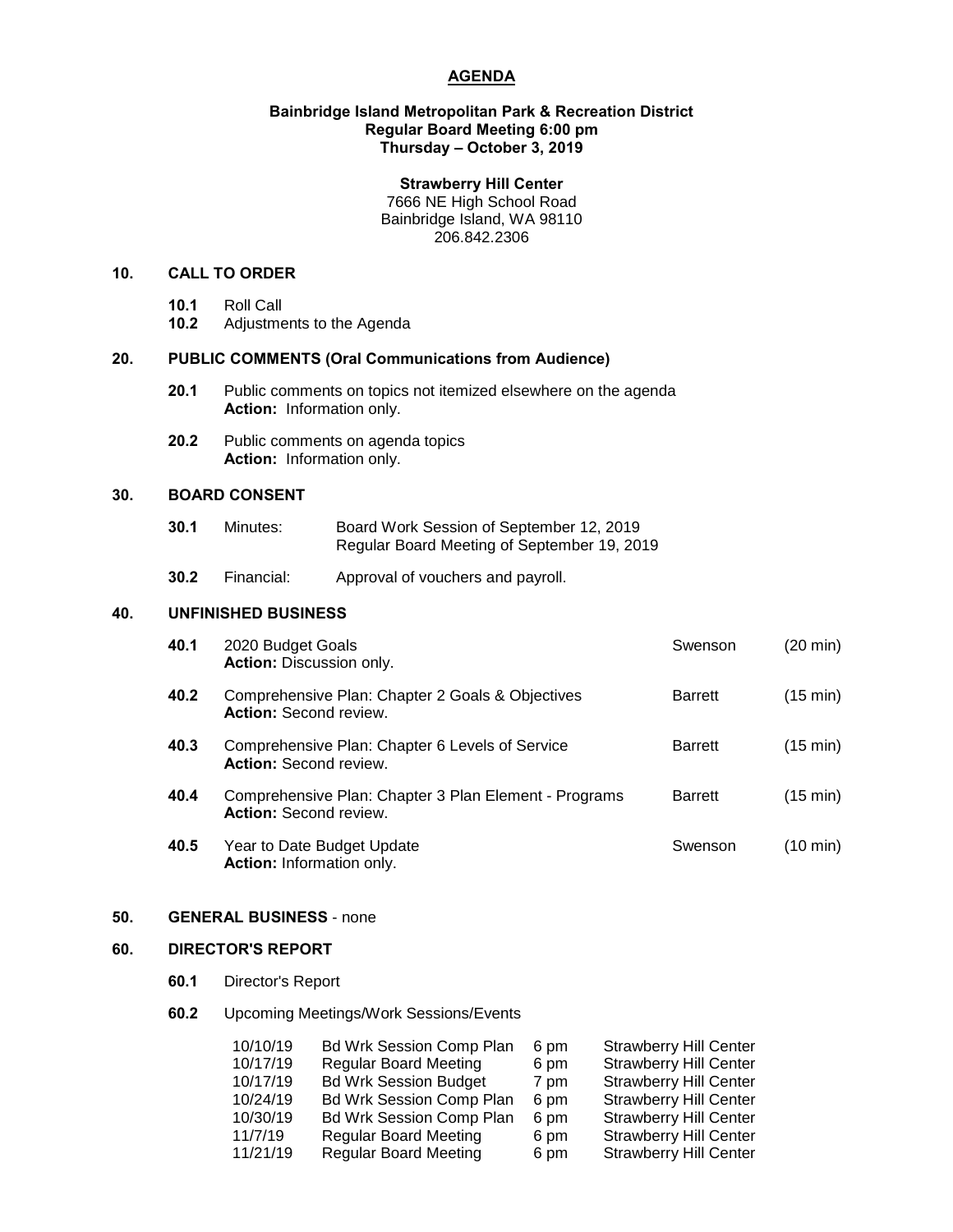# **AGENDA**

#### **Bainbridge Island Metropolitan Park & Recreation District Regular Board Meeting 6:00 pm Thursday – October 3, 2019**

## **Strawberry Hill Center**

7666 NE High School Road Bainbridge Island, WA 98110 206.842.2306

## **10. CALL TO ORDER**

- **10.1** Roll Call
- **10.2** Adjustments to the Agenda

## **20. PUBLIC COMMENTS (Oral Communications from Audience)**

- **20.1** Public comments on topics not itemized elsewhere on the agenda **Action:** Information only.
- **20.2** Public comments on agenda topics **Action:** Information only.

# **30. BOARD CONSENT**

| 30.1 | Minutes: | Board Work Session of September 12, 2019    |
|------|----------|---------------------------------------------|
|      |          | Regular Board Meeting of September 19, 2019 |

**30.2** Financial: Approval of vouchers and payroll.

## **40. UNFINISHED BUSINESS**

| 40.1 | 2020 Budget Goals<br><b>Action: Discussion only.</b>                                   | Swenson        | (20 min)           |
|------|----------------------------------------------------------------------------------------|----------------|--------------------|
| 40.2 | Comprehensive Plan: Chapter 2 Goals & Objectives<br><b>Action: Second review.</b>      | <b>Barrett</b> | $(15 \text{ min})$ |
| 40.3 | Comprehensive Plan: Chapter 6 Levels of Service<br><b>Action: Second review.</b>       | <b>Barrett</b> | $(15 \text{ min})$ |
| 40.4 | Comprehensive Plan: Chapter 3 Plan Element - Programs<br><b>Action: Second review.</b> | <b>Barrett</b> | (15 min)           |
| 40.5 | Year to Date Budget Update<br>Action: Information only.                                | Swenson        | (10 min)           |

## **50. GENERAL BUSINESS** - none

## **60. DIRECTOR'S REPORT**

**60.1** Director's Report

# **60.2** Upcoming Meetings/Work Sessions/Events

| 10/10/19 | <b>Bd Wrk Session Comp Plan</b> | 6 pm | <b>Strawberry Hill Center</b> |
|----------|---------------------------------|------|-------------------------------|
| 10/17/19 | <b>Regular Board Meeting</b>    | 6 pm | <b>Strawberry Hill Center</b> |
| 10/17/19 | <b>Bd Wrk Session Budget</b>    | 7 pm | <b>Strawberry Hill Center</b> |
| 10/24/19 | <b>Bd Wrk Session Comp Plan</b> | 6 pm | <b>Strawberry Hill Center</b> |
| 10/30/19 | <b>Bd Wrk Session Comp Plan</b> | 6 pm | <b>Strawberry Hill Center</b> |
| 11/7/19  | <b>Regular Board Meeting</b>    | 6 pm | <b>Strawberry Hill Center</b> |
| 11/21/19 | <b>Regular Board Meeting</b>    | 6 pm | <b>Strawberry Hill Center</b> |